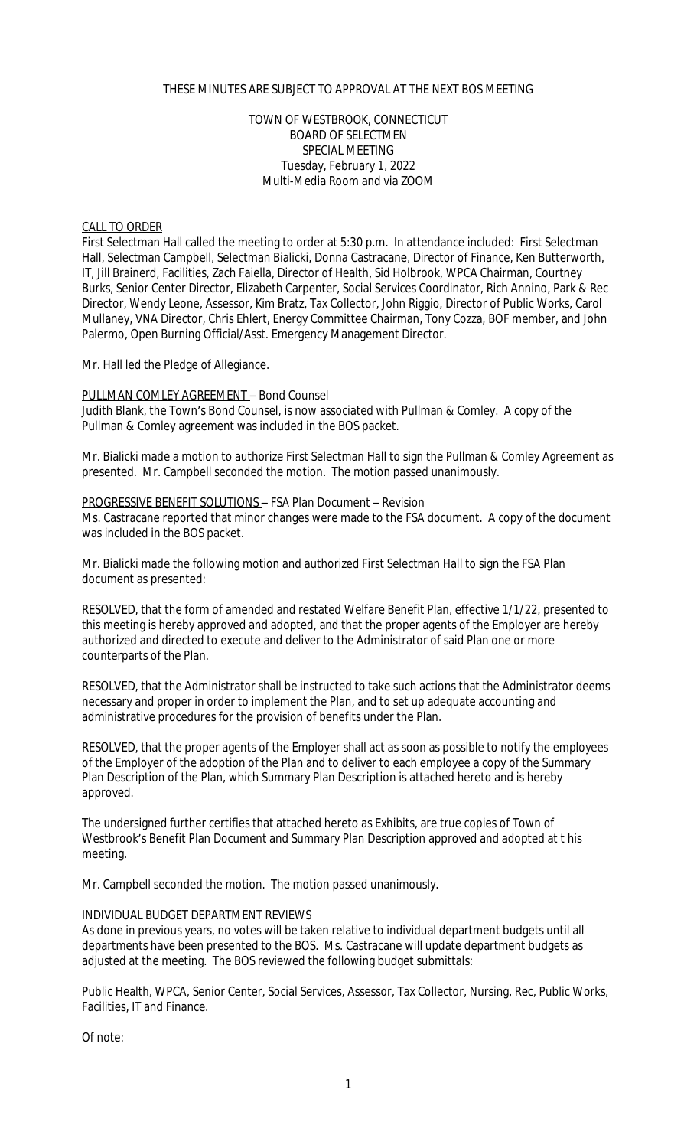# THESE MINUTES ARE SUBJECT TO APPROVAL AT THE NEXT BOS MEETING

## TOWN OF WESTBROOK, CONNECTICUT BOARD OF SELECTMEN SPECIAL MEETING Tuesday, February 1, 2022 Multi-Media Room and via ZOOM

## CALL TO ORDER

First Selectman Hall called the meeting to order at 5:30 p.m. In attendance included: First Selectman Hall, Selectman Campbell, Selectman Bialicki, Donna Castracane, Director of Finance, Ken Butterworth, IT, Jill Brainerd, Facilities, Zach Faiella, Director of Health, Sid Holbrook, WPCA Chairman, Courtney Burks, Senior Center Director, Elizabeth Carpenter, Social Services Coordinator, Rich Annino, Park & Rec Director, Wendy Leone, Assessor, Kim Bratz, Tax Collector, John Riggio, Director of Public Works, Carol Mullaney, VNA Director, Chris Ehlert, Energy Committee Chairman, Tony Cozza, BOF member, and John Palermo, Open Burning Official/Asst. Emergency Management Director.

Mr. Hall led the Pledge of Allegiance.

### PULLMAN COMLEY AGREEMENT – Bond Counsel

Judith Blank, the Town's Bond Counsel, is now associated with Pullman & Comley. A copy of the Pullman & Comley agreement was included in the BOS packet.

Mr. Bialicki made a motion to authorize First Selectman Hall to sign the Pullman & Comley Agreement as presented. Mr. Campbell seconded the motion. The motion passed unanimously.

#### PROGRESSIVE BENEFIT SOLUTIONS – FSA Plan Document – Revision

Ms. Castracane reported that minor changes were made to the FSA document. A copy of the document was included in the BOS packet.

Mr. Bialicki made the following motion and authorized First Selectman Hall to sign the FSA Plan document as presented:

RESOLVED, that the form of amended and restated Welfare Benefit Plan, effective 1/1/22, presented to this meeting is hereby approved and adopted, and that the proper agents of the Employer are hereby authorized and directed to execute and deliver to the Administrator of said Plan one or more counterparts of the Plan.

RESOLVED, that the Administrator shall be instructed to take such actions that the Administrator deems necessary and proper in order to implement the Plan, and to set up adequate accounting and administrative procedures for the provision of benefits under the Plan.

RESOLVED, that the proper agents of the Employer shall act as soon as possible to notify the employees of the Employer of the adoption of the Plan and to deliver to each employee a copy of the Summary Plan Description of the Plan, which Summary Plan Description is attached hereto and is hereby approved.

The undersigned further certifies that attached hereto as Exhibits, are true copies of Town of Westbrook's Benefit Plan Document and Summary Plan Description approved and adopted at t his meeting.

Mr. Campbell seconded the motion. The motion passed unanimously.

## INDIVIDUAL BUDGET DEPARTMENT REVIEWS

As done in previous years, no votes will be taken relative to individual department budgets until all departments have been presented to the BOS. Ms. Castracane will update department budgets as adjusted at the meeting. The BOS reviewed the following budget submittals:

Public Health, WPCA, Senior Center, Social Services, Assessor, Tax Collector, Nursing, Rec, Public Works, Facilities, IT and Finance.

Of note: